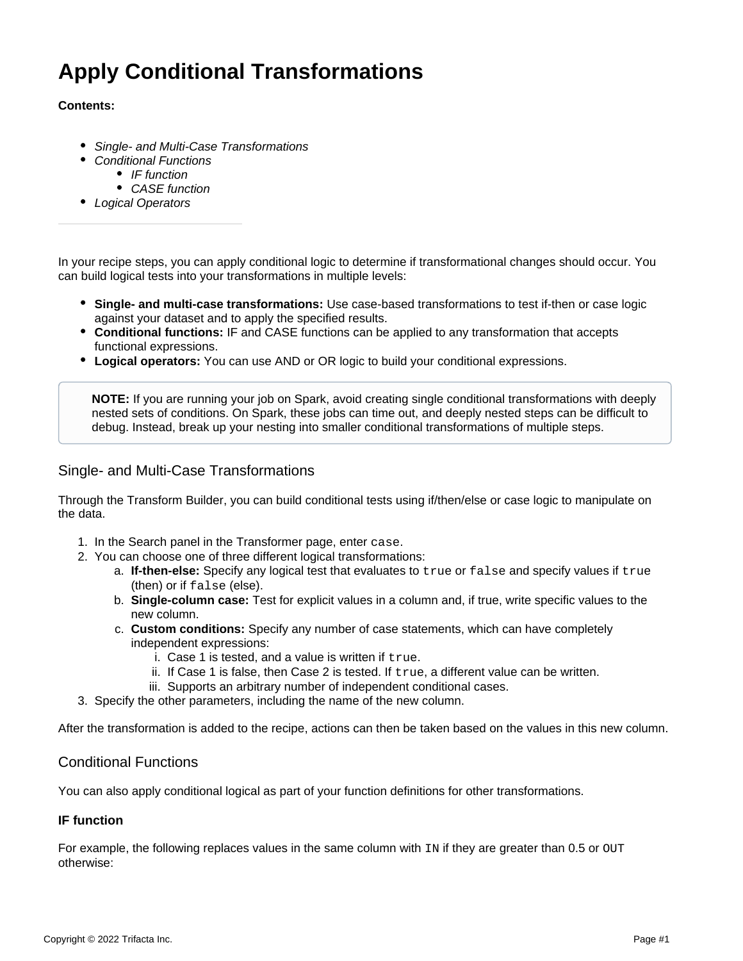# **Apply Conditional Transformations**

#### **Contents:**

- [Single- and Multi-Case Transformations](#page-0-0)
- [Conditional Functions](#page-0-1)
	- [IF function](#page-0-2)
		- [CASE function](#page-1-0)
- [Logical Operators](#page-1-1)

In your recipe steps, you can apply conditional logic to determine if transformational changes should occur. You can build logical tests into your transformations in multiple levels:

- **Single- and multi-case transformations:** Use case-based transformations to test if-then or case logic against your dataset and to apply the specified results.
- **Conditional functions:** IF and CASE functions can be applied to any transformation that accepts functional expressions.
- **Logical operators:** You can use AND or OR logic to build your conditional expressions.

**NOTE:** If you are running your job on Spark, avoid creating single conditional transformations with deeply nested sets of conditions. On Spark, these jobs can time out, and deeply nested steps can be difficult to debug. Instead, break up your nesting into smaller conditional transformations of multiple steps.

### <span id="page-0-0"></span>Single- and Multi-Case Transformations

Through the Transform Builder, you can build conditional tests using if/then/else or case logic to manipulate on the data.

- 1. In the Search panel in the Transformer page, enter case.
- 2. You can choose one of three different logical transformations:
	- a. **If-then-else:** Specify any logical test that evaluates to true or false and specify values if true (then) or if false (else).
	- b. **Single-column case:** Test for explicit values in a column and, if true, write specific values to the new column.
	- c. **Custom conditions:** Specify any number of case statements, which can have completely independent expressions:
		- i. Case 1 is tested, and a value is written if true.
		- ii. If Case 1 is false, then Case 2 is tested. If true, a different value can be written.
		- iii. Supports an arbitrary number of independent conditional cases.
- 3. Specify the other parameters, including the name of the new column.

After the transformation is added to the recipe, actions can then be taken based on the values in this new column.

#### <span id="page-0-1"></span>Conditional Functions

You can also apply conditional logical as part of your function definitions for other transformations.

#### <span id="page-0-2"></span>**IF function**

For example, the following replaces values in the same column with  $IR$  if they are greater than 0.5 or  $OUT$ otherwise: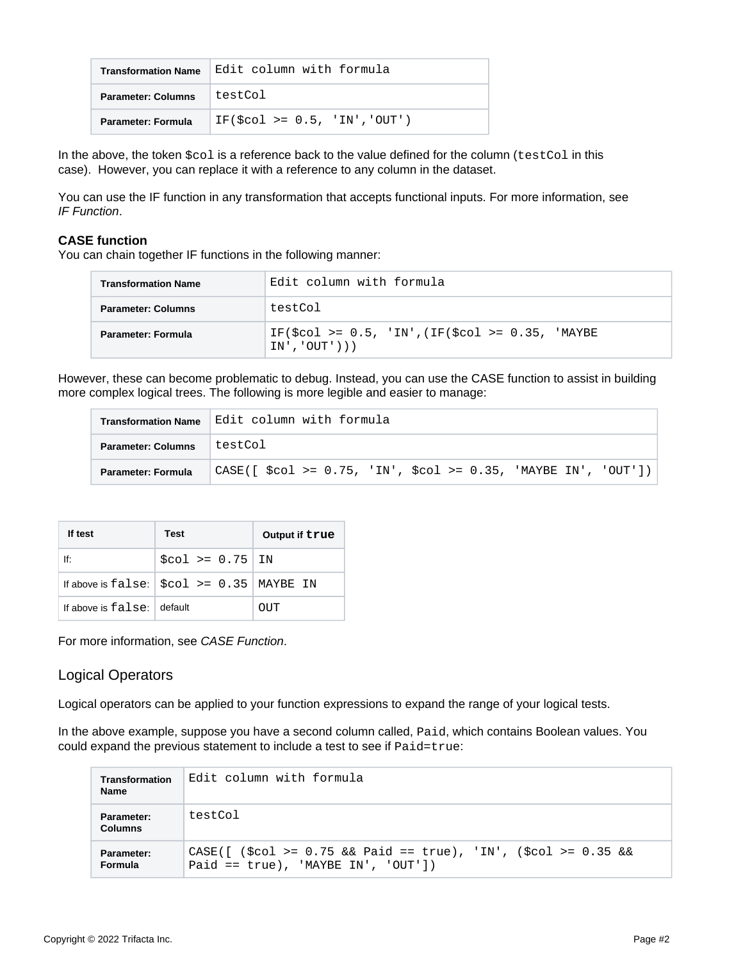| <b>Transformation Name</b> | Edit column with formula         |
|----------------------------|----------------------------------|
| <b>Parameter: Columns</b>  | testCol                          |
| Parameter: Formula         | $IF(\$col \ge 0.5, 'IN', 'OUT')$ |

In the above, the token  $$col$  is a reference back to the value defined for the column (testCol in this case). However, you can replace it with a reference to any column in the dataset.

You can use the IF function in any transformation that accepts functional inputs. For more information, see [IF Function](https://docs.trifacta.com/display/r082/IF+Function).

#### <span id="page-1-0"></span>**CASE function**

You can chain together IF functions in the following manner:

| <b>Transformation Name</b> | Edit column with formula                                              |  |
|----------------------------|-----------------------------------------------------------------------|--|
| <b>Parameter: Columns</b>  | testCol                                                               |  |
| Parameter: Formula         | IF(\$col >= $0.5$ , 'IN',(IF(\$col >= $0.35$ , 'MAYBE<br>IN','OUT'))) |  |

However, these can become problematic to debug. Instead, you can use the CASE function to assist in building more complex logical trees. The following is more legible and easier to manage:

|                           | Transformation Name Edit column with formula                   |  |  |
|---------------------------|----------------------------------------------------------------|--|--|
| <b>Parameter: Columns</b> | testCol                                                        |  |  |
| <b>Parameter: Formula</b> | CASE([ \$col >= 0.75, 'IN', \$col >= 0.35, 'MAYBE IN', 'OUT']) |  |  |

| If test               | Test                                                | Output if true |
|-----------------------|-----------------------------------------------------|----------------|
| lf:                   | $$col > = 0.75$ IN                                  |                |
|                       | If above is false: $\vert$ \$col >= 0.35   MAYBE IN |                |
| If above is $false$ : | default                                             | OUT            |

For more information, see [CASE Function](https://docs.trifacta.com/display/r082/CASE+Function).

## <span id="page-1-1"></span>Logical Operators

Logical operators can be applied to your function expressions to expand the range of your logical tests.

In the above example, suppose you have a second column called, Paid, which contains Boolean values. You could expand the previous statement to include a test to see if Paid=true:

| Transformation<br><b>Name</b> | Edit column with formula                                                                                                                            |
|-------------------------------|-----------------------------------------------------------------------------------------------------------------------------------------------------|
| Parameter:<br><b>Columns</b>  | testCol                                                                                                                                             |
| Parameter:<br>Formula         | CASE([ $({\text{Scol}} > = 0.75 \& {\text{R}}$ Paid == true), 'IN', $({\text{Scol}} > = 0.35 \& {\text{R}}$<br>Paid == $true$ , 'MAYBE IN', 'OUT']) |